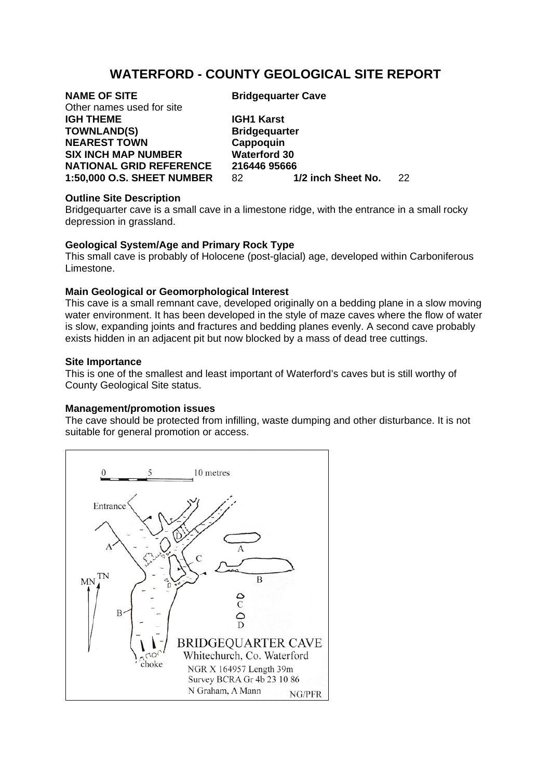# **WATERFORD - COUNTY GEOLOGICAL SITE REPORT**

Other names used for site **IGH THEME IGH1 Karst** TOWNLAND(S) Bridgequarter **NEAREST TOWN Cappoquin SIX INCH MAP NUMBER Waterford 30** 

**NAME OF SITE** Bridgequarter Cave

**NATIONAL GRID REFERENCE 216446 95666**<br>1:50,000 O.S. SHEET NUMBER 82 1/2 inch Sheet No. **1:50,000 O.S. SHEET NUMBER** 82 **1/2 inch Sheet No.** 22

## **Outline Site Description**

Bridgequarter cave is a small cave in a limestone ridge, with the entrance in a small rocky depression in grassland.

# **Geological System/Age and Primary Rock Type**

This small cave is probably of Holocene (post-glacial) age, developed within Carboniferous Limestone.

## **Main Geological or Geomorphological Interest**

This cave is a small remnant cave, developed originally on a bedding plane in a slow moving water environment. It has been developed in the style of maze caves where the flow of water is slow, expanding joints and fractures and bedding planes evenly. A second cave probably exists hidden in an adjacent pit but now blocked by a mass of dead tree cuttings.

#### **Site Importance**

This is one of the smallest and least important of Waterford's caves but is still worthy of County Geological Site status.

#### **Management/promotion issues**

The cave should be protected from infilling, waste dumping and other disturbance. It is not suitable for general promotion or access.

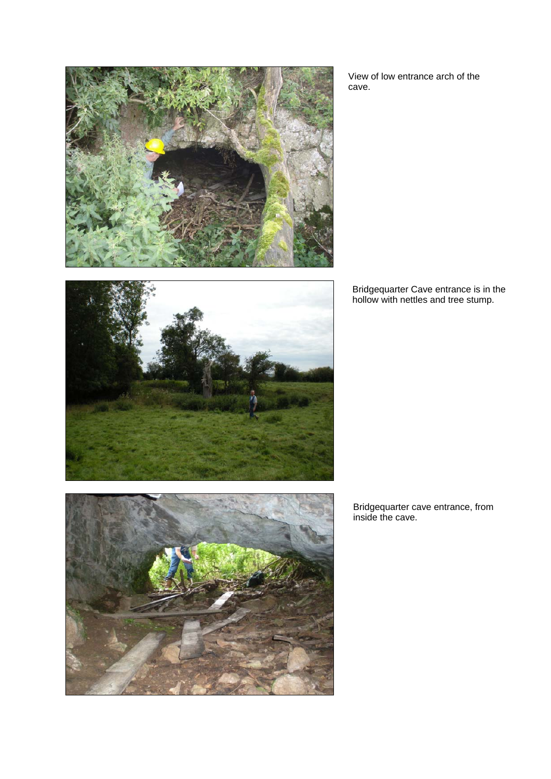

View of low entrance arch of the cave.



Bridgequarter Cave entrance is in the hollow with nettles and tree stump.